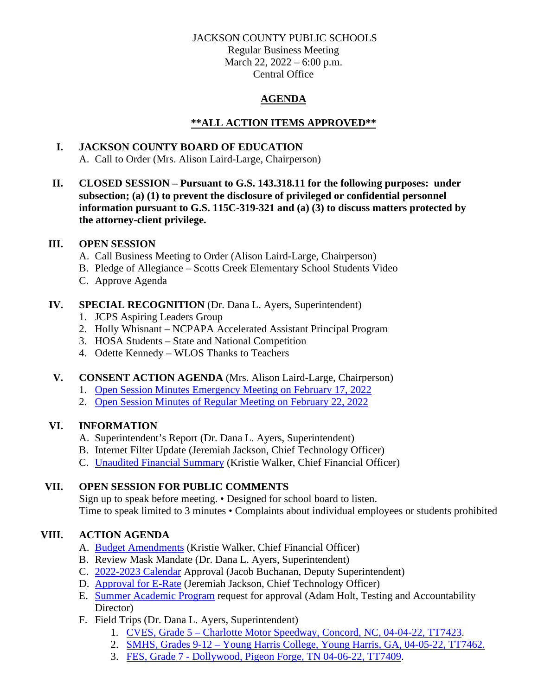### JACKSON COUNTY PUBLIC SCHOOLS

Regular Business Meeting March 22, 2022 – 6:00 p.m. Central Office

# **AGENDA**

## **\*\*ALL ACTION ITEMS APPROVED\*\***

# **I. JACKSON COUNTY BOARD OF EDUCATION**

A. Call to Order (Mrs. Alison Laird-Large, Chairperson)

**II. CLOSED SESSION – Pursuant to G.S. 143.318.11 for the following purposes: under subsection; (a) (1) to prevent the disclosure of privileged or confidential personnel information pursuant to G.S. 115C-319-321 and (a) (3) to discuss matters protected by the attorney-client privilege.**

### **III. OPEN SESSION**

- A. Call Business Meeting to Order (Alison Laird-Large, Chairperson)
- B. Pledge of Allegiance Scotts Creek Elementary School Students Video
- C. Approve Agenda

## **IV. SPECIAL RECOGNITION** (Dr. Dana L. Ayers, Superintendent)

- 1. JCPS Aspiring Leaders Group
- 2. Holly Whisnant NCPAPA Accelerated Assistant Principal Program
- 3. HOSA Students State and National Competition
- 4. Odette Kennedy WLOS Thanks to Teachers

### **V. CONSENT ACTION AGENDA** (Mrs. Alison Laird-Large, Chairperson)

- 1. [Open Session Minutes Emergency Meeting on February 17, 2022](https://jcpsmail-my.sharepoint.com/:b:/g/personal/cfields_jcpsmail_org/EZFL7ebXsjFBooHmaJMUxtgBEpGIdC12oW3s_xAb7b0A5w?e=XeutKB)
- 2. [Open Session Minutes of Regular Meeting on February 22, 2022](https://jcpsmail-my.sharepoint.com/:b:/g/personal/cfields_jcpsmail_org/EbXwA3wMCFtHkEPOE8EoeO0BBeFPx6pJjDqv6YfEAOJ-PA?e=LNN58O)

# **VI. INFORMATION**

- A. Superintendent's Report (Dr. Dana L. Ayers, Superintendent)
- B. Internet Filter Update (Jeremiah Jackson, Chief Technology Officer)
- C. [Unaudited Financial Summary](https://jcpsmail-my.sharepoint.com/:b:/g/personal/cfields_jcpsmail_org/Ed6RUO3jHrBLsBZAOVFgW0cBU4M-XqS_m7OCb1fDUPLq6g?e=HDJe7T) (Kristie Walker, Chief Financial Officer)

# **VII. OPEN SESSION FOR PUBLIC COMMENTS**

Sign up to speak before meeting. • Designed for school board to listen. Time to speak limited to 3 minutes • Complaints about individual employees or students prohibited

# **VIII. ACTION AGENDA**

- A. [Budget Amendments](https://jcpsmail-my.sharepoint.com/:b:/g/personal/cfields_jcpsmail_org/Ed-97J2ArshHjAxooWv5krcBSDpb7qEiIq6ODsTEs7rX0w?e=C0dmic) (Kristie Walker, Chief Financial Officer)
- B. Review Mask Mandate (Dr. Dana L. Ayers, Superintendent)
- C. [2022-2023](https://jcpsmail-my.sharepoint.com/:b:/g/personal/cfields_jcpsmail_org/EcdK_nqHX-BLidjDG1cjuLMBuaX-toPdr8PRiSM35y2KSQ?e=KQMahK) Calendar Approval (Jacob Buchanan, Deputy Superintendent)
- D. [Approval for E-Rate](https://jcpsmail-my.sharepoint.com/:b:/g/personal/cfields_jcpsmail_org/EXcoTlQwb8JHla9RpapbFfMBGdbiGitbTXXGOlSesZSCwg?e=jqQaSM) (Jeremiah Jackson, Chief Technology Officer)
- E. [Summer Academic Program](https://jcpsmail-my.sharepoint.com/:b:/g/personal/cfields_jcpsmail_org/EQs9B14vt_dHgGnAZjnYH0sBdakAMb9vBMak6VcXgDPg6A?e=OofsHw) request for approval (Adam Holt, Testing and Accountability Director)
- F. Field Trips (Dr. Dana L. Ayers, Superintendent)
	- 1. CVES, Grade 5 [Charlotte Motor Speedway, Concord, NC, 04-04-22, TT7423.](https://jcpsmail-my.sharepoint.com/:b:/g/personal/cfields_jcpsmail_org/EcMkg0e2odhFtZtdcIYyFsMBRBgYtncp0CrYGKp1xqG2Gw?e=gvaJHs)
	- 2. SMHS, Grades 9-12 [Young Harris College, Young Harris, GA, 04-05-22, TT7462.](https://jcpsmail-my.sharepoint.com/:b:/g/personal/cfields_jcpsmail_org/EfxeOILG8_NAp51EJ3u2GxgBVlI_Ta-9Kyf4C7kaTmnY6g?e=HWTylE)
	- 3. FES, Grade 7 [Dollywood, Pigeon Forge, TN 04-06-22, TT7409.](https://jcpsmail-my.sharepoint.com/:b:/g/personal/cfields_jcpsmail_org/EcP-d4chrbtAkk-wwWM2_LcBWSJ-BpyA_W3j97HJIstXdg?e=85u0ha)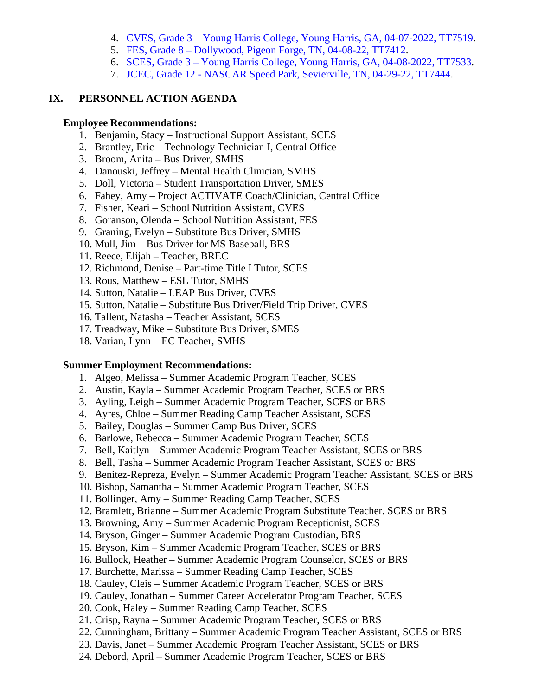- 4. CVES, Grade 3 [Young Harris College, Young Harris, GA, 04-07-2022, TT7519.](https://jcpsmail-my.sharepoint.com/:b:/g/personal/cfields_jcpsmail_org/ETJ9knzFmfBCiCwer17GQfcBRznFJ4Xv7jIelJ2Kfom9dQ?e=vpi5It)
- 5. FES, Grade 8 [Dollywood, Pigeon Forge, TN, 04-08-22, TT7412.](https://jcpsmail-my.sharepoint.com/:b:/g/personal/cfields_jcpsmail_org/EbnBN5sBqT5Jj-0NZ_gzH_0BgSX9G8RChHvEYk8Aooszow?e=bGlPk2)
- 6. SCES, Grade 3 [Young Harris College, Young Harris, GA, 04-08-2022, TT7533.](https://jcpsmail-my.sharepoint.com/:b:/g/personal/cfields_jcpsmail_org/EWl15AL7SyNKigyerOWXTuwBuGRXioAH4WZeoD93RGQhwQ?e=yFqUZy)
- 7. JCEC, Grade 12 [NASCAR Speed Park, Sevierville, TN, 04-29-22, TT7444.](https://jcpsmail-my.sharepoint.com/:b:/g/personal/cfields_jcpsmail_org/EYS0KWwtrZxNlKW39oCkvlUBzKA37Y-4er1hxo3ZTAAyfw?e=y9fgjw)

### **IX. PERSONNEL ACTION AGENDA**

#### **Employee Recommendations:**

- 1. Benjamin, Stacy Instructional Support Assistant, SCES
- 2. Brantley, Eric Technology Technician I, Central Office
- 3. Broom, Anita Bus Driver, SMHS
- 4. Danouski, Jeffrey Mental Health Clinician, SMHS
- 5. Doll, Victoria Student Transportation Driver, SMES
- 6. Fahey, Amy Project ACTIVATE Coach/Clinician, Central Office
- 7. Fisher, Keari School Nutrition Assistant, CVES
- 8. Goranson, Olenda School Nutrition Assistant, FES
- 9. Graning, Evelyn Substitute Bus Driver, SMHS
- 10. Mull, Jim Bus Driver for MS Baseball, BRS
- 11. Reece, Elijah Teacher, BREC
- 12. Richmond, Denise Part-time Title I Tutor, SCES
- 13. Rous, Matthew ESL Tutor, SMHS
- 14. Sutton, Natalie LEAP Bus Driver, CVES
- 15. Sutton, Natalie Substitute Bus Driver/Field Trip Driver, CVES
- 16. Tallent, Natasha Teacher Assistant, SCES
- 17. Treadway, Mike Substitute Bus Driver, SMES
- 18. Varian, Lynn EC Teacher, SMHS

#### **Summer Employment Recommendations:**

- 1. Algeo, Melissa Summer Academic Program Teacher, SCES
- 2. Austin, Kayla Summer Academic Program Teacher, SCES or BRS
- 3. Ayling, Leigh Summer Academic Program Teacher, SCES or BRS
- 4. Ayres, Chloe Summer Reading Camp Teacher Assistant, SCES
- 5. Bailey, Douglas Summer Camp Bus Driver, SCES
- 6. Barlowe, Rebecca Summer Academic Program Teacher, SCES
- 7. Bell, Kaitlyn Summer Academic Program Teacher Assistant, SCES or BRS
- 8. Bell, Tasha Summer Academic Program Teacher Assistant, SCES or BRS
- 9. Benitez-Repreza, Evelyn Summer Academic Program Teacher Assistant, SCES or BRS
- 10. Bishop, Samantha Summer Academic Program Teacher, SCES
- 11. Bollinger, Amy Summer Reading Camp Teacher, SCES
- 12. Bramlett, Brianne Summer Academic Program Substitute Teacher. SCES or BRS
- 13. Browning, Amy Summer Academic Program Receptionist, SCES
- 14. Bryson, Ginger Summer Academic Program Custodian, BRS
- 15. Bryson, Kim Summer Academic Program Teacher, SCES or BRS
- 16. Bullock, Heather Summer Academic Program Counselor, SCES or BRS
- 17. Burchette, Marissa Summer Reading Camp Teacher, SCES
- 18. Cauley, Cleis Summer Academic Program Teacher, SCES or BRS
- 19. Cauley, Jonathan Summer Career Accelerator Program Teacher, SCES
- 20. Cook, Haley Summer Reading Camp Teacher, SCES
- 21. Crisp, Rayna Summer Academic Program Teacher, SCES or BRS
- 22. Cunningham, Brittany Summer Academic Program Teacher Assistant, SCES or BRS
- 23. Davis, Janet Summer Academic Program Teacher Assistant, SCES or BRS
- 24. Debord, April Summer Academic Program Teacher, SCES or BRS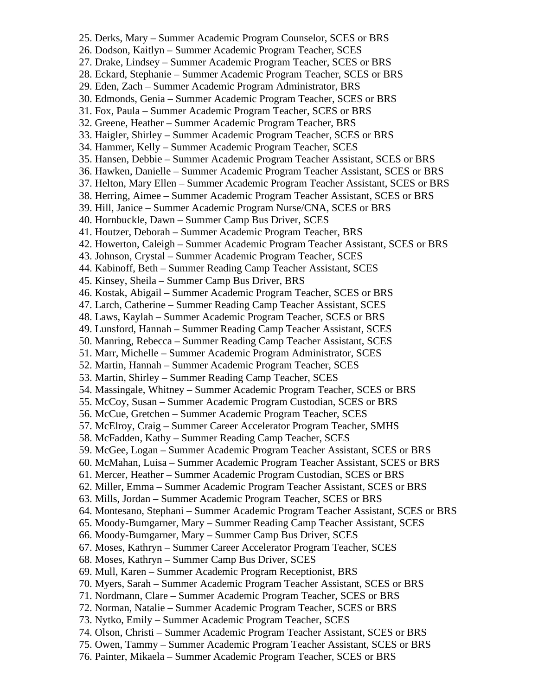25. Derks, Mary – Summer Academic Program Counselor, SCES or BRS 26. Dodson, Kaitlyn – Summer Academic Program Teacher, SCES 27. Drake, Lindsey – Summer Academic Program Teacher, SCES or BRS 28. Eckard, Stephanie – Summer Academic Program Teacher, SCES or BRS 29. Eden, Zach – Summer Academic Program Administrator, BRS 30. Edmonds, Genia – Summer Academic Program Teacher, SCES or BRS 31. Fox, Paula – Summer Academic Program Teacher, SCES or BRS 32. Greene, Heather – Summer Academic Program Teacher, BRS 33. Haigler, Shirley – Summer Academic Program Teacher, SCES or BRS 34. Hammer, Kelly – Summer Academic Program Teacher, SCES 35. Hansen, Debbie – Summer Academic Program Teacher Assistant, SCES or BRS 36. Hawken, Danielle – Summer Academic Program Teacher Assistant, SCES or BRS 37. Helton, Mary Ellen – Summer Academic Program Teacher Assistant, SCES or BRS 38. Herring, Aimee – Summer Academic Program Teacher Assistant, SCES or BRS 39. Hill, Janice – Summer Academic Program Nurse/CNA, SCES or BRS 40. Hornbuckle, Dawn – Summer Camp Bus Driver, SCES 41. Houtzer, Deborah – Summer Academic Program Teacher, BRS 42. Howerton, Caleigh – Summer Academic Program Teacher Assistant, SCES or BRS 43. Johnson, Crystal – Summer Academic Program Teacher, SCES 44. Kabinoff, Beth – Summer Reading Camp Teacher Assistant, SCES 45. Kinsey, Sheila – Summer Camp Bus Driver, BRS 46. Kostak, Abigail – Summer Academic Program Teacher, SCES or BRS 47. Larch, Catherine – Summer Reading Camp Teacher Assistant, SCES 48. Laws, Kaylah – Summer Academic Program Teacher, SCES or BRS 49. Lunsford, Hannah – Summer Reading Camp Teacher Assistant, SCES 50. Manring, Rebecca – Summer Reading Camp Teacher Assistant, SCES 51. Marr, Michelle – Summer Academic Program Administrator, SCES 52. Martin, Hannah – Summer Academic Program Teacher, SCES 53. Martin, Shirley – Summer Reading Camp Teacher, SCES 54. Massingale, Whitney – Summer Academic Program Teacher, SCES or BRS 55. McCoy, Susan – Summer Academic Program Custodian, SCES or BRS 56. McCue, Gretchen – Summer Academic Program Teacher, SCES 57. McElroy, Craig – Summer Career Accelerator Program Teacher, SMHS 58. McFadden, Kathy – Summer Reading Camp Teacher, SCES 59. McGee, Logan – Summer Academic Program Teacher Assistant, SCES or BRS 60. McMahan, Luisa – Summer Academic Program Teacher Assistant, SCES or BRS 61. Mercer, Heather – Summer Academic Program Custodian, SCES or BRS 62. Miller, Emma – Summer Academic Program Teacher Assistant, SCES or BRS 63. Mills, Jordan – Summer Academic Program Teacher, SCES or BRS 64. Montesano, Stephani – Summer Academic Program Teacher Assistant, SCES or BRS 65. Moody-Bumgarner, Mary – Summer Reading Camp Teacher Assistant, SCES 66. Moody-Bumgarner, Mary – Summer Camp Bus Driver, SCES 67. Moses, Kathryn – Summer Career Accelerator Program Teacher, SCES 68. Moses, Kathryn – Summer Camp Bus Driver, SCES 69. Mull, Karen – Summer Academic Program Receptionist, BRS 70. Myers, Sarah – Summer Academic Program Teacher Assistant, SCES or BRS 71. Nordmann, Clare – Summer Academic Program Teacher, SCES or BRS 72. Norman, Natalie – Summer Academic Program Teacher, SCES or BRS 73. Nytko, Emily – Summer Academic Program Teacher, SCES 74. Olson, Christi – Summer Academic Program Teacher Assistant, SCES or BRS 75. Owen, Tammy – Summer Academic Program Teacher Assistant, SCES or BRS 76. Painter, Mikaela – Summer Academic Program Teacher, SCES or BRS